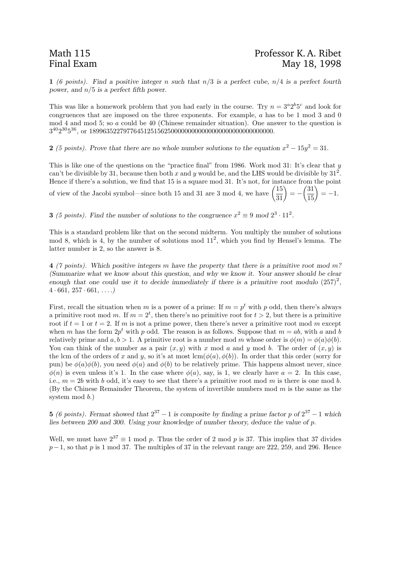1 (6 points). Find a positive integer n such that  $n/3$  is a perfect cube,  $n/4$  is a perfect fourth power, and  $n/5$  is a perfect fifth power.

This was like a homework problem that you had early in the course. Try  $n = 3^a 2^b 5^c$  and look for congruences that are imposed on the three exponents. For example, a has to be 1 mod 3 and 0 mod 4 and mod 5; so a could be 40 (Chinese remainder situation). One answer to the question is 3 <sup>40</sup>2 <sup>30</sup>5 <sup>36</sup>, or 189963522797764512515625000000000000000000000000000000.

2 (5 points). Prove that there are no whole number solutions to the equation  $x^2 - 15y^2 = 31$ .

This is like one of the questions on the "practice final" from 1986. Work mod 31: It's clear that  $y$ can't be divisible by 31, because then both x and y would be, and the LHS would be divisible by  $31^2$ . Hence if there's a solution, we find that 15 is a square mod 31. It's not, for instance from the point of view of the Jacobi symbol—since both 15 and 31 are 3 mod 4, we have  $\left(\frac{15}{31}\right) = -\left(\frac{31}{15}\right) = -1$ .

**3** (5 points). Find the number of solutions to the congruence  $x^2 \equiv 9 \text{ mod } 2^3 \cdot 11^2$ .

This is a standard problem like that on the second midterm. You multiply the number of solutions mod 8, which is 4, by the number of solutions mod  $11^2$ , which you find by Hensel's lemma. The latter number is 2, so the answer is 8.

4 (7 points). Which positive integers m have the property that there is a primitive root mod m? (Summarize what we know about this question, and why we know it. Your answer should be clear enough that one could use it to decide immediately if there is a primitive root modulo  $(257)^2$ ,  $4 \cdot 661, 257 \cdot 661, \ldots$ 

First, recall the situation when m is a power of a prime: If  $m = p^t$  with p odd, then there's always a primitive root mod m. If  $m = 2^t$ , then there's no primitive root for  $t > 2$ , but there is a primitive root if  $t = 1$  or  $t = 2$ . If m is not a prime power, then there's never a primitive root mod m except when m has the form  $2p^t$  with p odd. The reason is as follows. Suppose that  $m = ab$ , with a and b relatively prime and  $a, b > 1$ . A primitive root is a number mod m whose order is  $\phi(m) = \phi(a)\phi(b)$ . You can think of the number as a pair  $(x, y)$  with x mod a and y mod b. The order of  $(x, y)$  is the lcm of the orders of x and y, so it's at most  $\text{lcm}(\phi(a), \phi(b))$ . In order that this order (sorry for pun) be  $\phi(a)\phi(b)$ , you need  $\phi(a)$  and  $\phi(b)$  to be relatively prime. This happens almost never, since  $\phi(n)$  is even unless it's 1. In the case where  $\phi(a)$ , say, is 1, we clearly have  $a = 2$ . In this case, i.e.,  $m = 2b$  with b odd, it's easy to see that there's a primitive root mod m is there is one mod b. (By the Chinese Remainder Theorem, the system of invertible numbers mod  $m$  is the same as the system mod b.)

**5** (6 points). Fermat showed that  $2^{37} - 1$  is composite by finding a prime factor p of  $2^{37} - 1$  which lies between 200 and 300. Using your knowledge of number theory, deduce the value of p.

Well, we must have  $2^{37} \equiv 1 \mod p$ . Thus the order of 2 mod p is 37. This implies that 37 divides  $p-1$ , so that p is 1 mod 37. The multiples of 37 in the relevant range are 222, 259, and 296. Hence